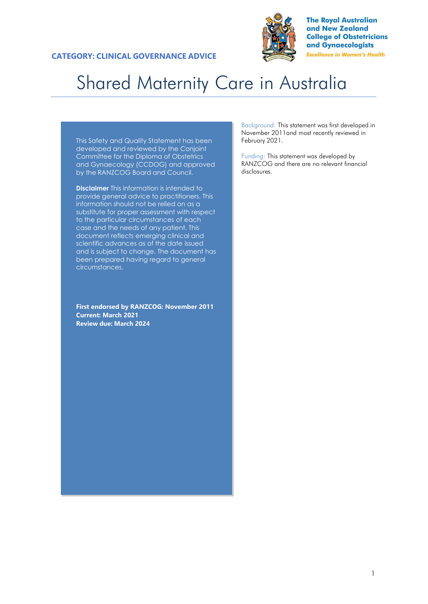

**The Royal Australian** and New Zealand **College of Obstetricians** and Gynaecologists **Excellence in Women's Health** 

# Shared Maternity Care in Australia

This Safety and Quality Statement has been developed and reviewed by the Conjoint Committee for the Diploma of Obstetrics and Gynaecology (CCDOG) and approved by the RANZCOG Board and Council.

**Disclaimer** This information is intended to provide general advice to practitioners. This information should not be relied on as a substitute for proper assessment with respect to the particular circumstances of each case and the needs of any patient. This document reflects emerging clinical and scientific advances as of the date issued and is subject to change. The document has been prepared having regard to general circumstances.

**First endorsed by RANZCOG: November 2011 Current: March 2021 Review due: March 2024**

Background: This statement was first developed in November 2011and most recently reviewed in February 2021.

Funding: This statement was developed by RANZCOG and there are no relevant financial disclosures.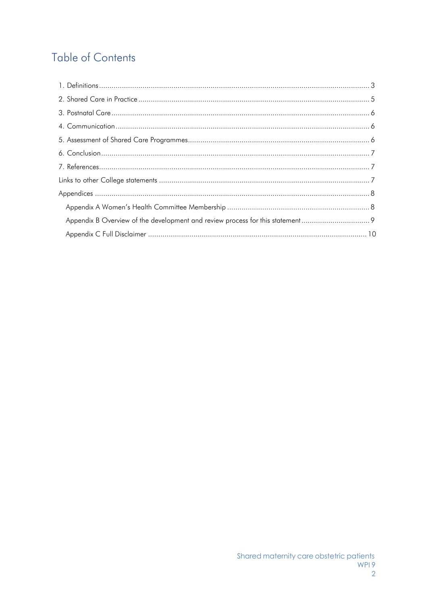## **Table of Contents**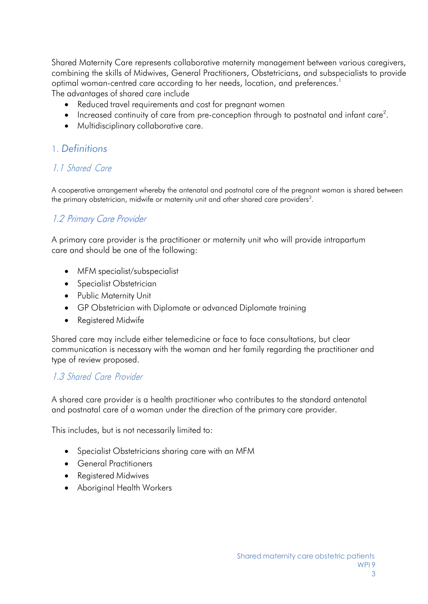Shared Maternity Care represents collaborative maternity management between various caregivers, combining the skills of Midwives, General Practitioners, Obstetricians, and subspecialists to provide optimal woman-centred care according to her needs, location, and preferences.<sup>1</sup> The advantages of shared care include

- Reduced travel requirements and cost for pregnant women
- $\bullet$  Increased continuity of care from pre-conception through to postnatal and infant care<sup>2</sup>.
- Multidisciplinary collaborative care.

#### 1. *Definitions*

### 1.1 Shared Care

A cooperative arrangement whereby the antenatal and postnatal care of the pregnant woman is shared between the primary obstetrician, midwife or maternity unit and other shared care providers $^3$ .

### 1.2 Primary Care Provider

A primary care provider is the practitioner or maternity unit who will provide intrapartum care and should be one of the following:

- MFM specialist/subspecialist
- Specialist Obstetrician
- Public Maternity Unit
- GP Obstetrician with Diplomate or advanced Diplomate training
- Registered Midwife

Shared care may include either telemedicine or face to face consultations, but clear communication is necessary with the woman and her family regarding the practitioner and type of review proposed.

#### 1.3 Shared Care Provider

A shared care provider is a health practitioner who contributes to the standard antenatal and postnatal care of a woman under the direction of the primary care provider.

This includes, but is not necessarily limited to:

- Specialist Obstetricians sharing care with an MFM
- General Practitioners
- Registered Midwives
- Aboriginal Health Workers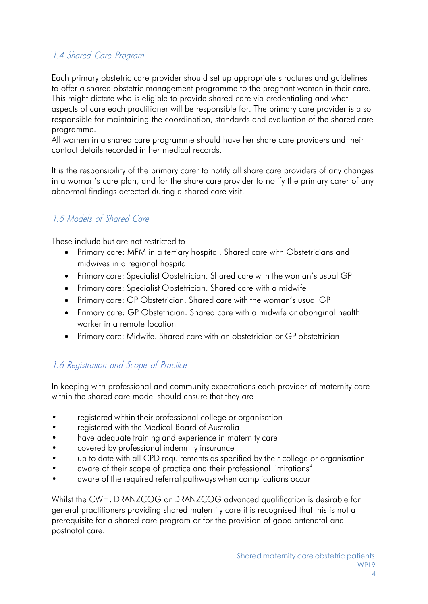### 1.4 Shared Care Program

Each primary obstetric care provider should set up appropriate structures and guidelines to offer a shared obstetric management programme to the pregnant women in their care. This might dictate who is eligible to provide shared care via credentialing and what aspects of care each practitioner will be responsible for. The primary care provider is also responsible for maintaining the coordination, standards and evaluation of the shared care programme.

All women in a shared care programme should have her share care providers and their contact details recorded in her medical records.

It is the responsibility of the primary carer to notify all share care providers of any changes in a woman's care plan, and for the share care provider to notify the primary carer of any abnormal findings detected during a shared care visit.

### 1.5 Models of Shared Care

These include but are not restricted to

- Primary care: MFM in a tertiary hospital. Shared care with Obstetricians and midwives in a regional hospital
- Primary care: Specialist Obstetrician. Shared care with the woman's usual GP
- Primary care: Specialist Obstetrician. Shared care with a midwife
- Primary care: GP Obstetrician. Shared care with the woman's usual GP
- Primary care: GP Obstetrician. Shared care with a midwife or aboriginal health worker in a remote location
- Primary care: Midwife. Shared care with an obstetrician or GP obstetrician

#### 1.6 Registration and Scope of Practice

In keeping with professional and community expectations each provider of maternity care within the shared care model should ensure that they are

- registered within their professional college or organisation
- registered with the Medical Board of Australia
- have adequate training and experience in maternity care
- covered by professional indemnity insurance
- up to date with all CPD requirements as specified by their college or organisation
- aware of their scope of practice and their professional limitations<sup>4</sup>
- aware of the required referral pathways when complications occur

Whilst the CWH, DRANZCOG or DRANZCOG advanced qualification is desirable for general practitioners providing shared maternity care it is recognised that this is not a prerequisite for a shared care program or for the provision of good antenatal and postnatal care.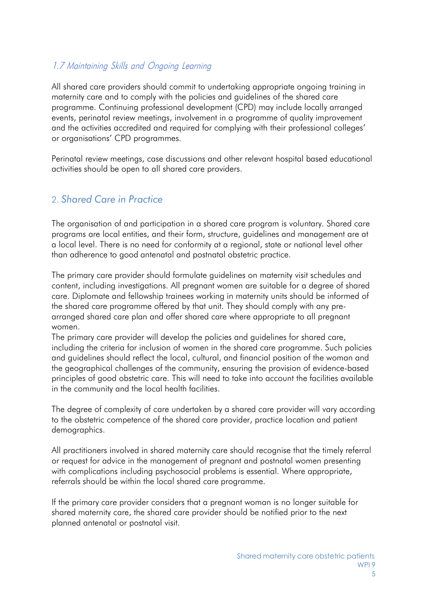### 1.7 Maintaining Skills and Ongoing Learning

All shared care providers should commit to undertaking appropriate ongoing training in maternity care and to comply with the policies and guidelines of the shared care programme. Continuing professional development (CPD) may include locally arranged events, perinatal review meetings, involvement in a programme of quality improvement and the activities accredited and required for complying with their professional colleges' or organisations' CPD programmes.

Perinatal review meetings, case discussions and other relevant hospital based educational activities should be open to all shared care providers.

#### <span id="page-4-0"></span>2. *Shared Care in Practice*

The organisation of and participation in a shared care program is voluntary. Shared care programs are local entities, and their form, structure, guidelines and management are at a local level. There is no need for conformity at a regional, state or national level other than adherence to good antenatal and postnatal obstetric practice.

The primary care provider should formulate guidelines on maternity visit schedules and content, including investigations. All pregnant women are suitable for a degree of shared care. Diplomate and fellowship trainees working in maternity units should be informed of the shared care programme offered by that unit. They should comply with any prearranged shared care plan and offer shared care where appropriate to all pregnant women.

The primary care provider will develop the policies and guidelines for shared care, including the criteria for inclusion of women in the shared care programme. Such policies and guidelines should reflect the local, cultural, and financial position of the woman and the geographical challenges of the community, ensuring the provision of evidence-based principles of good obstetric care. This will need to take into account the facilities available in the community and the local health facilities.

The degree of complexity of care undertaken by a shared care provider will vary according to the obstetric competence of the shared care provider, practice location and patient demographics.

All practitioners involved in shared maternity care should recognise that the timely referral or request for advice in the management of pregnant and postnatal women presenting with complications including psychosocial problems is essential. Where appropriate, referrals should be within the local shared care programme.

If the primary care provider considers that a pregnant woman is no longer suitable for shared maternity care, the shared care provider should be notified prior to the next planned antenatal or postnatal visit.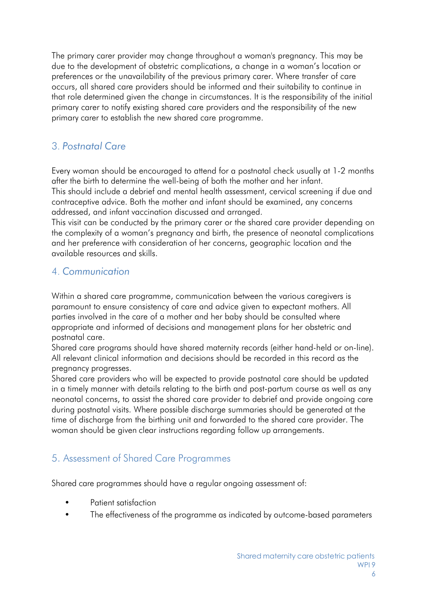The primary carer provider may change throughout a woman's pregnancy. This may be due to the development of obstetric complications, a change in a woman's location or preferences or the unavailability of the previous primary carer. Where transfer of care occurs, all shared care providers should be informed and their suitability to continue in that role determined given the change in circumstances. It is the responsibility of the initial primary carer to notify existing shared care providers and the responsibility of the new primary carer to establish the new shared care programme.

### <span id="page-5-0"></span>3. *Postnatal Care*

Every woman should be encouraged to attend for a postnatal check usually at 1-2 months after the birth to determine the well-being of both the mother and her infant. This should include a debrief and mental health assessment, cervical screening if due and

contraceptive advice. Both the mother and infant should be examined, any concerns addressed, and infant vaccination discussed and arranged.

This visit can be conducted by the primary carer or the shared care provider depending on the complexity of a woman's pregnancy and birth, the presence of neonatal complications and her preference with consideration of her concerns, geographic location and the available resources and skills.

### <span id="page-5-1"></span>4. *Communication*

Within a shared care programme, communication between the various caregivers is paramount to ensure consistency of care and advice given to expectant mothers. All parties involved in the care of a mother and her baby should be consulted where appropriate and informed of decisions and management plans for her obstetric and postnatal care.

Shared care programs should have shared maternity records (either hand-held or on-line). All relevant clinical information and decisions should be recorded in this record as the pregnancy progresses.

Shared care providers who will be expected to provide postnatal care should be updated in a timely manner with details relating to the birth and post-partum course as well as any neonatal concerns, to assist the shared care provider to debrief and provide ongoing care during postnatal visits. Where possible discharge summaries should be generated at the time of discharge from the birthing unit and forwarded to the shared care provider. The woman should be given clear instructions regarding follow up arrangements.

### <span id="page-5-2"></span>5. Assessment of Shared Care Programmes

Shared care programmes should have a regular ongoing assessment of:

- Patient satisfaction
- The effectiveness of the programme as indicated by outcome-based parameters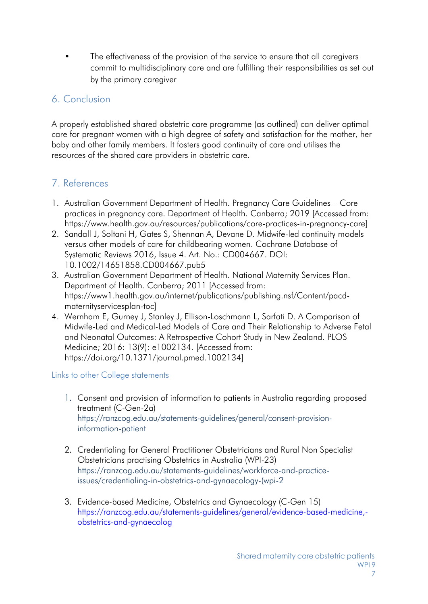The effectiveness of the provision of the service to ensure that all caregivers commit to multidisciplinary care and are fulfilling their responsibilities as set out by the primary caregiver

### <span id="page-6-0"></span>6. Conclusion

A properly established shared obstetric care programme (as outlined) can deliver optimal care for pregnant women with a high degree of safety and satisfaction for the mother, her baby and other family members. It fosters good continuity of care and utilises the resources of the shared care providers in obstetric care.

### <span id="page-6-1"></span>7. References

- 1. Australian Government Department of Health. Pregnancy Care Guidelines Core practices in pregnancy care. Department of Health. Canberra; 2019 [Accessed from: [https://www.health.gov.au/resources/publications/core-practices-in-pregnancy-care\]](https://www.health.gov.au/resources/publications/core-practices-in-pregnancy-care)
- 2. Sandall J, Soltani H, Gates S, Shennan A, Devane D. Midwife-led continuity models versus other models of care for childbearing women. Cochrane Database of Systematic Reviews 2016, Issue 4. Art. No.: CD004667. DOI: 10.1002/14651858.CD004667.pub5
- 3. Australian Government Department of Health. National Maternity Services Plan. Department of Health. Canberra; 2011 [Accessed from: [https://www1.health.gov.au/internet/publications/publishing.nsf/Content/pacd](https://www1.health.gov.au/internet/publications/publishing.nsf/Content/pacd-maternityservicesplan-toc)[maternityservicesplan-toc\]](https://www1.health.gov.au/internet/publications/publishing.nsf/Content/pacd-maternityservicesplan-toc)
- 4. Wernham E, Gurney J, Stanley J, Ellison-Loschmann L, Sarfati D. A Comparison of Midwife-Led and Medical-Led Models of Care and Their Relationship to Adverse Fetal and Neonatal Outcomes: A Retrospective Cohort Study in New Zealand. PLOS Medicine; 2016: 13(9): e1002134. [Accessed from: [https://doi.org/10.1371/journal.pmed.1002134\]](https://doi.org/10.1371/journal.pmed.1002134)

<span id="page-6-2"></span>Links to other College statements

- 1. Consent and provision of information to patients in Australia regarding proposed treatment (C-Gen-2a) [https://ranzcog.edu.au/statements-guidelines/general/consent-provision](https://ranzcog.edu.au/statements-guidelines/general/consent-provision-information-patient)[information-patient](https://ranzcog.edu.au/statements-guidelines/general/consent-provision-information-patient)
- 2. Credentialing for General Practitioner Obstetricians and Rural Non Specialist Obstetricians practising Obstetrics in Australia (WPI-23) [https://ranzcog.edu.au/statements-guidelines/workforce-and-practice](https://ranzcog.edu.au/statements-guidelines/workforce-and-practice-issues/credentialing-in-obstetrics-and-gynaecology-(wpi-2)[issues/credentialing-in-obstetrics-and-gynaecology-\(wpi-2](https://ranzcog.edu.au/statements-guidelines/workforce-and-practice-issues/credentialing-in-obstetrics-and-gynaecology-(wpi-2)
- 3. Evidence-based Medicine, Obstetrics and Gynaecology (C-Gen 15) [https://ranzcog.edu.au/statements-guidelines/general/evidence-based-medicine,](https://ranzcog.edu.au/statements-guidelines/general/evidence-based-medicine%2C-obstetrics-and-gynaecolog) [obstetrics-and-gynaecolog](https://ranzcog.edu.au/statements-guidelines/general/evidence-based-medicine%2C-obstetrics-and-gynaecolog)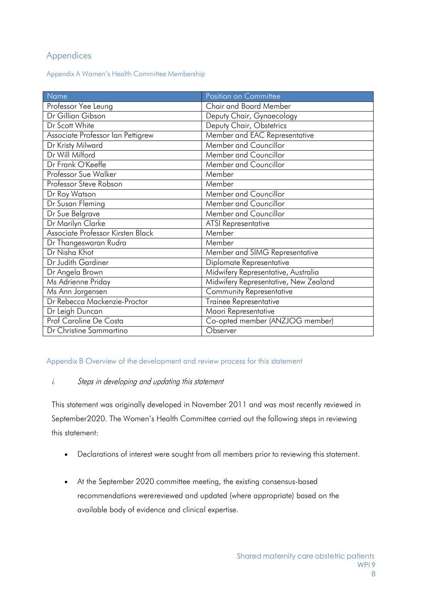#### <span id="page-7-0"></span>Appendices

Appendix A Women's Health Committee Membership

| Name                              | Position on Committee                 |
|-----------------------------------|---------------------------------------|
| Professor Yee Leung               | <b>Chair and Board Member</b>         |
| Dr Gillian Gibson                 | Deputy Chair, Gynaecology             |
| Dr Scott White                    | Deputy Chair, Obstetrics              |
| Associate Professor Ian Pettigrew | Member and EAC Representative         |
| Dr Kristy Milward                 | Member and Councillor                 |
| Dr Will Milford                   | Member and Councillor                 |
| Dr Frank O'Keeffe                 | Member and Councillor                 |
| Professor Sue Walker              | Member                                |
| Professor Steve Robson            | Member                                |
| Dr Roy Watson                     | Member and Councillor                 |
| Dr Susan Fleming                  | Member and Councillor                 |
| Dr Sue Belgrave                   | Member and Councillor                 |
| Dr Marilyn Clarke                 | <b>ATSI Representative</b>            |
| Associate Professor Kirsten Black | Member                                |
| Dr Thangeswaran Rudra             | Member                                |
| Dr Nisha Khot                     | Member and SIMG Representative        |
| Dr Judith Gardiner                | Diplomate Representative              |
| Dr Angela Brown                   | Midwifery Representative, Australia   |
| Ms Adrienne Priday                | Midwifery Representative, New Zealand |
| Ms Ann Jorgensen                  | <b>Community Representative</b>       |
| Dr Rebecca Mackenzie-Proctor      | <b>Trainee Representative</b>         |
| Dr Leigh Duncan                   | Maori Representative                  |
| Prof Caroline De Costa            | Co-opted member (ANZJOG member)       |
| Dr Christine Sammartino           | Observer                              |

#### Appendix B Overview of the development and review process for this statement

#### i. Steps in developing and updating this statement

This statement was originally developed in November 2011 and was most recently reviewed in September 2020. The Women's Health Committee carried out the following steps in reviewing this statement:

- Declarations of interest were sought from all members prior to reviewing this statement.
- At the September 2020 committee meeting, the existing consensus-based recommendations werereviewed and updated (where appropriate) based on the available body of evidence and clinical expertise.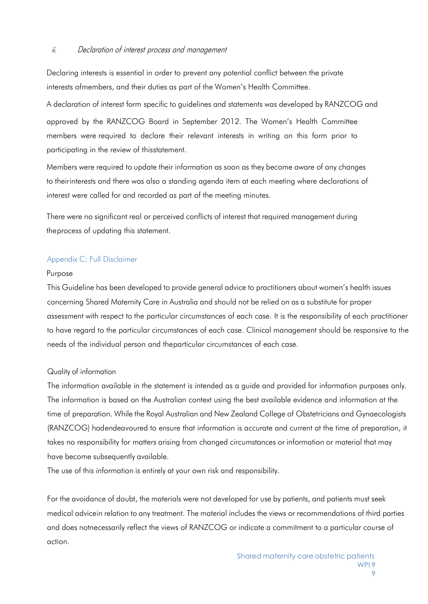#### ii. Declaration of interest process and management

Declaring interests is essential in order to prevent any potential conflict between the private interests ofmembers, and their duties as part of the Women's Health Committee.

A declaration of interest form specific to guidelines and statements was developed by RANZCOG and approved by the RANZCOG Board in September 2012. The Women's Health Committee members were required to declare their relevant interests in writing on this form prior to participating in the review of thisstatement.

Members were required to update their information as soon as they become aware of any changes to theirinterests and there was also a standing agenda item at each meeting where declarations of interest were called for and recorded as part of the meeting minutes.

There were no significant real or perceived conflicts of interest that required management during theprocess of updating this statement.

#### Appendix C: Full Disclaimer

#### Purpose

This Guideline has been developed to provide general advice to practitioners about women's health issues concerning Shared Maternity Care in Australia and should not be relied on as a substitute for proper assessment with respect to the particular circumstances of each case. It is the responsibility of each practitioner to have regard to the particular circumstances of each case. Clinical management should be responsive to the needs of the individual person and theparticular circumstances of each case.

#### Quality of information

The information available in the statement is intended as a guide and provided for information purposes only. The information is based on the Australian context using the best available evidence and information at the time of preparation. While the Royal Australian and New Zealand College of Obstetricians and Gynaecologists (RANZCOG) hadendeavoured to ensure that information is accurate and current at the time of preparation, it takes no responsibility for matters arising from changed circumstances or information or material that may have become subsequently available.

The use of this information is entirely at your own risk and responsibility.

For the avoidance of doubt, the materials were not developed for use by patients, and patients must seek medical advicein relation to any treatment. The material includes the views or recommendations of third parties and does notnecessarily reflect the views of RANZCOG or indicate a commitment to a particular course of action.